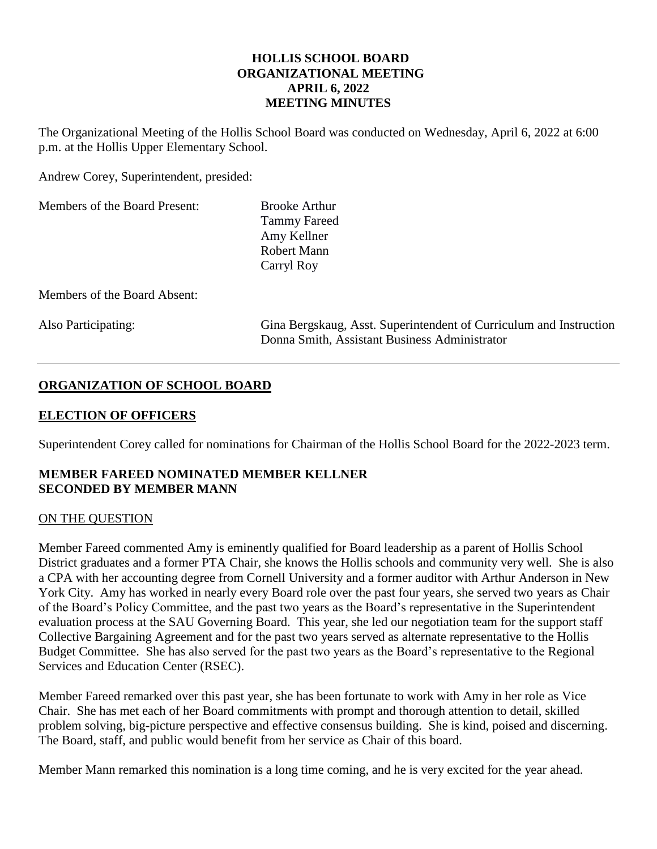# **HOLLIS SCHOOL BOARD ORGANIZATIONAL MEETING APRIL 6, 2022 MEETING MINUTES**

The Organizational Meeting of the Hollis School Board was conducted on Wednesday, April 6, 2022 at 6:00 p.m. at the Hollis Upper Elementary School.

Andrew Corey, Superintendent, presided:

Members of the Board Present: Brooke Arthur

Tammy Fareed Amy Kellner Robert Mann Carryl Roy

Members of the Board Absent:

Also Participating: Gina Bergskaug, Asst. Superintendent of Curriculum and Instruction Donna Smith, Assistant Business Administrator

# **ORGANIZATION OF SCHOOL BOARD**

# **ELECTION OF OFFICERS**

Superintendent Corey called for nominations for Chairman of the Hollis School Board for the 2022-2023 term.

# **MEMBER FAREED NOMINATED MEMBER KELLNER SECONDED BY MEMBER MANN**

# ON THE QUESTION

Member Fareed commented Amy is eminently qualified for Board leadership as a parent of Hollis School District graduates and a former PTA Chair, she knows the Hollis schools and community very well. She is also a CPA with her accounting degree from Cornell University and a former auditor with Arthur Anderson in New York City. Amy has worked in nearly every Board role over the past four years, she served two years as Chair of the Board's Policy Committee, and the past two years as the Board's representative in the Superintendent evaluation process at the SAU Governing Board. This year, she led our negotiation team for the support staff Collective Bargaining Agreement and for the past two years served as alternate representative to the Hollis Budget Committee. She has also served for the past two years as the Board's representative to the Regional Services and Education Center (RSEC).

Member Fareed remarked over this past year, she has been fortunate to work with Amy in her role as Vice Chair. She has met each of her Board commitments with prompt and thorough attention to detail, skilled problem solving, big-picture perspective and effective consensus building. She is kind, poised and discerning. The Board, staff, and public would benefit from her service as Chair of this board.

Member Mann remarked this nomination is a long time coming, and he is very excited for the year ahead.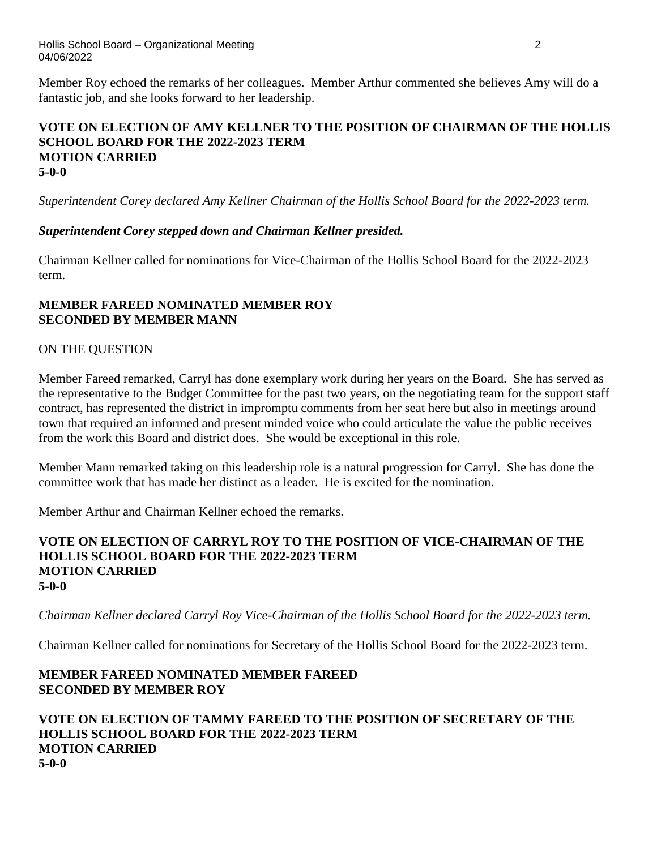Member Roy echoed the remarks of her colleagues. Member Arthur commented she believes Amy will do a fantastic job, and she looks forward to her leadership.

# **VOTE ON ELECTION OF AMY KELLNER TO THE POSITION OF CHAIRMAN OF THE HOLLIS SCHOOL BOARD FOR THE 2022-2023 TERM MOTION CARRIED 5-0-0**

*Superintendent Corey declared Amy Kellner Chairman of the Hollis School Board for the 2022-2023 term.*

# *Superintendent Corey stepped down and Chairman Kellner presided.*

Chairman Kellner called for nominations for Vice-Chairman of the Hollis School Board for the 2022-2023 term.

### **MEMBER FAREED NOMINATED MEMBER ROY SECONDED BY MEMBER MANN**

### ON THE QUESTION

Member Fareed remarked, Carryl has done exemplary work during her years on the Board. She has served as the representative to the Budget Committee for the past two years, on the negotiating team for the support staff contract, has represented the district in impromptu comments from her seat here but also in meetings around town that required an informed and present minded voice who could articulate the value the public receives from the work this Board and district does. She would be exceptional in this role.

Member Mann remarked taking on this leadership role is a natural progression for Carryl. She has done the committee work that has made her distinct as a leader. He is excited for the nomination.

Member Arthur and Chairman Kellner echoed the remarks.

### **VOTE ON ELECTION OF CARRYL ROY TO THE POSITION OF VICE-CHAIRMAN OF THE HOLLIS SCHOOL BOARD FOR THE 2022-2023 TERM MOTION CARRIED 5-0-0**

*Chairman Kellner declared Carryl Roy Vice-Chairman of the Hollis School Board for the 2022-2023 term.*

Chairman Kellner called for nominations for Secretary of the Hollis School Board for the 2022-2023 term.

# **MEMBER FAREED NOMINATED MEMBER FAREED SECONDED BY MEMBER ROY**

**VOTE ON ELECTION OF TAMMY FAREED TO THE POSITION OF SECRETARY OF THE HOLLIS SCHOOL BOARD FOR THE 2022-2023 TERM MOTION CARRIED 5-0-0**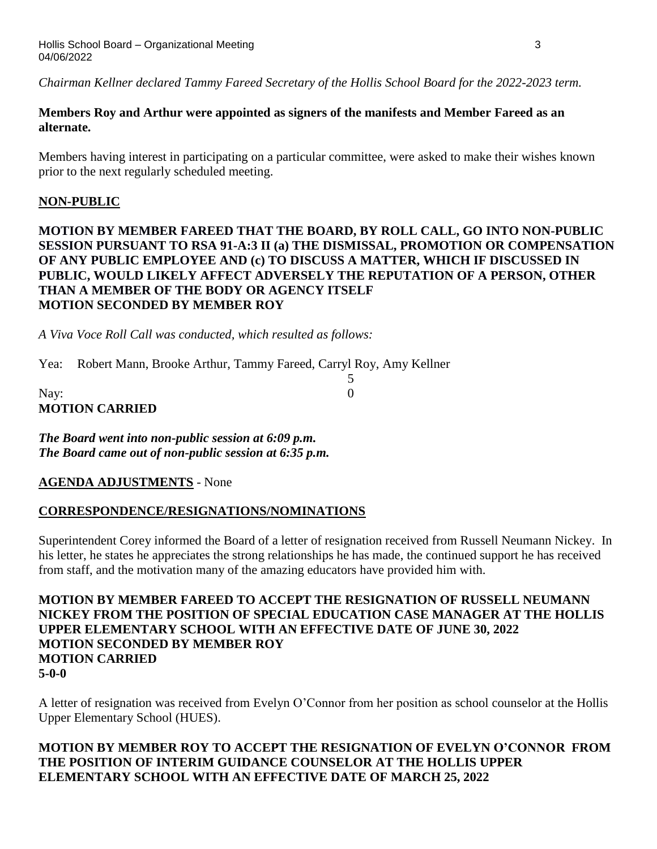*Chairman Kellner declared Tammy Fareed Secretary of the Hollis School Board for the 2022-2023 term.*

# **Members Roy and Arthur were appointed as signers of the manifests and Member Fareed as an alternate.**

Members having interest in participating on a particular committee, were asked to make their wishes known prior to the next regularly scheduled meeting.

# **NON-PUBLIC**

# **MOTION BY MEMBER FAREED THAT THE BOARD, BY ROLL CALL, GO INTO NON-PUBLIC SESSION PURSUANT TO RSA 91-A:3 II (a) THE DISMISSAL, PROMOTION OR COMPENSATION OF ANY PUBLIC EMPLOYEE AND (c) TO DISCUSS A MATTER, WHICH IF DISCUSSED IN PUBLIC, WOULD LIKELY AFFECT ADVERSELY THE REPUTATION OF A PERSON, OTHER THAN A MEMBER OF THE BODY OR AGENCY ITSELF MOTION SECONDED BY MEMBER ROY**

5

*A Viva Voce Roll Call was conducted, which resulted as follows:*

Yea: Robert Mann, Brooke Arthur, Tammy Fareed, Carryl Roy, Amy Kellner

| Nay:                  |  |
|-----------------------|--|
| <b>MOTION CARRIED</b> |  |

*The Board went into non-public session at 6:09 p.m. The Board came out of non-public session at 6:35 p.m.*

**AGENDA ADJUSTMENTS** - None

# **CORRESPONDENCE/RESIGNATIONS/NOMINATIONS**

Superintendent Corey informed the Board of a letter of resignation received from Russell Neumann Nickey. In his letter, he states he appreciates the strong relationships he has made, the continued support he has received from staff, and the motivation many of the amazing educators have provided him with.

**MOTION BY MEMBER FAREED TO ACCEPT THE RESIGNATION OF RUSSELL NEUMANN NICKEY FROM THE POSITION OF SPECIAL EDUCATION CASE MANAGER AT THE HOLLIS UPPER ELEMENTARY SCHOOL WITH AN EFFECTIVE DATE OF JUNE 30, 2022 MOTION SECONDED BY MEMBER ROY MOTION CARRIED 5-0-0**

A letter of resignation was received from Evelyn O'Connor from her position as school counselor at the Hollis Upper Elementary School (HUES).

# **MOTION BY MEMBER ROY TO ACCEPT THE RESIGNATION OF EVELYN O'CONNOR FROM THE POSITION OF INTERIM GUIDANCE COUNSELOR AT THE HOLLIS UPPER ELEMENTARY SCHOOL WITH AN EFFECTIVE DATE OF MARCH 25, 2022**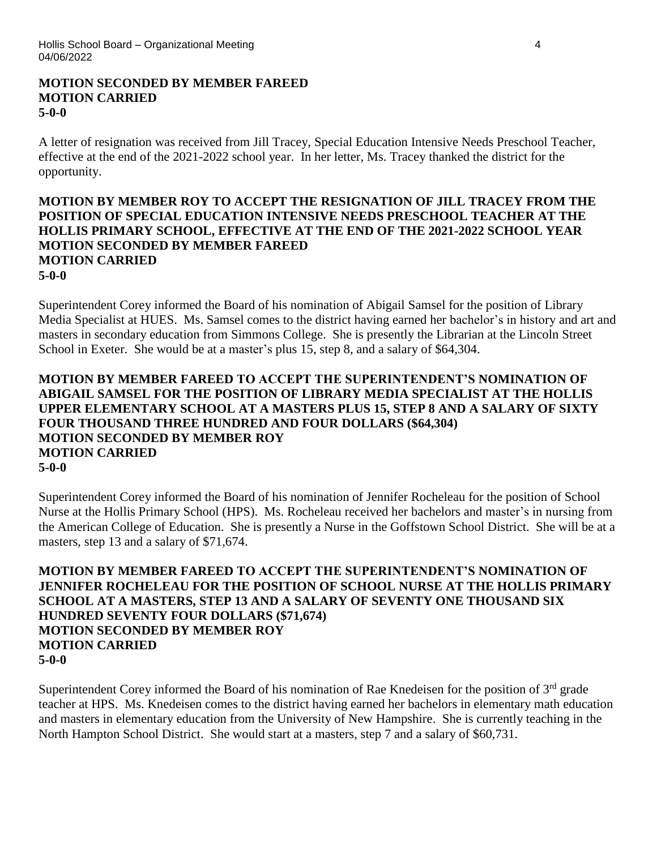### **MOTION SECONDED BY MEMBER FAREED MOTION CARRIED 5-0-0**

A letter of resignation was received from Jill Tracey, Special Education Intensive Needs Preschool Teacher, effective at the end of the 2021-2022 school year. In her letter, Ms. Tracey thanked the district for the opportunity.

### **MOTION BY MEMBER ROY TO ACCEPT THE RESIGNATION OF JILL TRACEY FROM THE POSITION OF SPECIAL EDUCATION INTENSIVE NEEDS PRESCHOOL TEACHER AT THE HOLLIS PRIMARY SCHOOL, EFFECTIVE AT THE END OF THE 2021-2022 SCHOOL YEAR MOTION SECONDED BY MEMBER FAREED MOTION CARRIED 5-0-0**

Superintendent Corey informed the Board of his nomination of Abigail Samsel for the position of Library Media Specialist at HUES. Ms. Samsel comes to the district having earned her bachelor's in history and art and masters in secondary education from Simmons College. She is presently the Librarian at the Lincoln Street School in Exeter. She would be at a master's plus 15, step 8, and a salary of \$64,304.

### **MOTION BY MEMBER FAREED TO ACCEPT THE SUPERINTENDENT'S NOMINATION OF ABIGAIL SAMSEL FOR THE POSITION OF LIBRARY MEDIA SPECIALIST AT THE HOLLIS UPPER ELEMENTARY SCHOOL AT A MASTERS PLUS 15, STEP 8 AND A SALARY OF SIXTY FOUR THOUSAND THREE HUNDRED AND FOUR DOLLARS (\$64,304) MOTION SECONDED BY MEMBER ROY MOTION CARRIED 5-0-0**

Superintendent Corey informed the Board of his nomination of Jennifer Rocheleau for the position of School Nurse at the Hollis Primary School (HPS). Ms. Rocheleau received her bachelors and master's in nursing from the American College of Education. She is presently a Nurse in the Goffstown School District. She will be at a masters, step 13 and a salary of \$71,674.

**MOTION BY MEMBER FAREED TO ACCEPT THE SUPERINTENDENT'S NOMINATION OF JENNIFER ROCHELEAU FOR THE POSITION OF SCHOOL NURSE AT THE HOLLIS PRIMARY SCHOOL AT A MASTERS, STEP 13 AND A SALARY OF SEVENTY ONE THOUSAND SIX HUNDRED SEVENTY FOUR DOLLARS (\$71,674) MOTION SECONDED BY MEMBER ROY MOTION CARRIED 5-0-0**

Superintendent Corey informed the Board of his nomination of Rae Knedeisen for the position of 3<sup>rd</sup> grade teacher at HPS. Ms. Knedeisen comes to the district having earned her bachelors in elementary math education and masters in elementary education from the University of New Hampshire. She is currently teaching in the North Hampton School District. She would start at a masters, step 7 and a salary of \$60,731.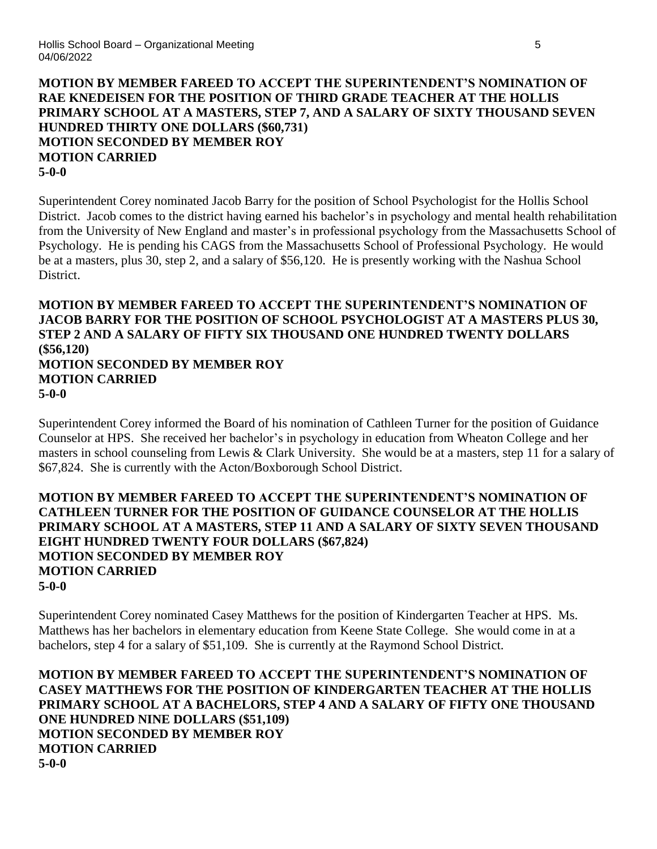# **MOTION BY MEMBER FAREED TO ACCEPT THE SUPERINTENDENT'S NOMINATION OF RAE KNEDEISEN FOR THE POSITION OF THIRD GRADE TEACHER AT THE HOLLIS PRIMARY SCHOOL AT A MASTERS, STEP 7, AND A SALARY OF SIXTY THOUSAND SEVEN HUNDRED THIRTY ONE DOLLARS (\$60,731) MOTION SECONDED BY MEMBER ROY MOTION CARRIED 5-0-0**

Superintendent Corey nominated Jacob Barry for the position of School Psychologist for the Hollis School District. Jacob comes to the district having earned his bachelor's in psychology and mental health rehabilitation from the University of New England and master's in professional psychology from the Massachusetts School of Psychology. He is pending his CAGS from the Massachusetts School of Professional Psychology. He would be at a masters, plus 30, step 2, and a salary of \$56,120. He is presently working with the Nashua School District.

### **MOTION BY MEMBER FAREED TO ACCEPT THE SUPERINTENDENT'S NOMINATION OF JACOB BARRY FOR THE POSITION OF SCHOOL PSYCHOLOGIST AT A MASTERS PLUS 30, STEP 2 AND A SALARY OF FIFTY SIX THOUSAND ONE HUNDRED TWENTY DOLLARS (\$56,120) MOTION SECONDED BY MEMBER ROY MOTION CARRIED 5-0-0**

Superintendent Corey informed the Board of his nomination of Cathleen Turner for the position of Guidance Counselor at HPS. She received her bachelor's in psychology in education from Wheaton College and her masters in school counseling from Lewis & Clark University. She would be at a masters, step 11 for a salary of \$67,824. She is currently with the Acton/Boxborough School District.

# **MOTION BY MEMBER FAREED TO ACCEPT THE SUPERINTENDENT'S NOMINATION OF CATHLEEN TURNER FOR THE POSITION OF GUIDANCE COUNSELOR AT THE HOLLIS PRIMARY SCHOOL AT A MASTERS, STEP 11 AND A SALARY OF SIXTY SEVEN THOUSAND EIGHT HUNDRED TWENTY FOUR DOLLARS (\$67,824) MOTION SECONDED BY MEMBER ROY MOTION CARRIED 5-0-0**

Superintendent Corey nominated Casey Matthews for the position of Kindergarten Teacher at HPS. Ms. Matthews has her bachelors in elementary education from Keene State College. She would come in at a bachelors, step 4 for a salary of \$51,109. She is currently at the Raymond School District.

**MOTION BY MEMBER FAREED TO ACCEPT THE SUPERINTENDENT'S NOMINATION OF CASEY MATTHEWS FOR THE POSITION OF KINDERGARTEN TEACHER AT THE HOLLIS PRIMARY SCHOOL AT A BACHELORS, STEP 4 AND A SALARY OF FIFTY ONE THOUSAND ONE HUNDRED NINE DOLLARS (\$51,109) MOTION SECONDED BY MEMBER ROY MOTION CARRIED 5-0-0**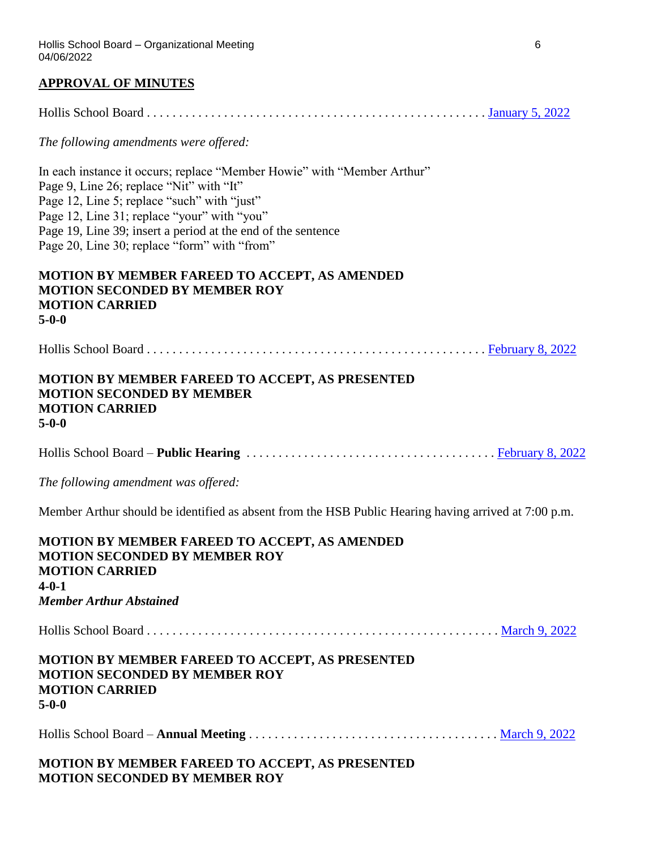### **APPROVAL OF MINUTES**

Hollis School Board . . . . . . . . . . . . . . . . . . . . . . . . . . . . . . . . . . . . . . . . . . . . . . . . . . . . . [January 5, 2022](https://www.sau41.org/docs/district/depts/108/2022-01-05-hsb-minutes-draft.pdf?id=2791)

*The following amendments were offered:*

In each instance it occurs; replace "Member Howie" with "Member Arthur" Page 9, Line 26; replace "Nit" with "It" Page 12, Line 5; replace "such" with "just" Page 12, Line 31; replace "your" with "you" Page 19, Line 39; insert a period at the end of the sentence Page 20, Line 30; replace "form" with "from"

### **MOTION BY MEMBER FAREED TO ACCEPT, AS AMENDED MOTION SECONDED BY MEMBER ROY MOTION CARRIED 5-0-0**

Hollis School Board . . . . . . . . . . . . . . . . . . . . . . . . . . . . . . . . . . . . . . . . . . . . . . . . . . . . . [February 8, 2022](https://www.sau41.org/docs/district/depts/108/2022-02-08-hsb%20-%20minutes-draft.pdf?id=2835)

### **MOTION BY MEMBER FAREED TO ACCEPT, AS PRESENTED MOTION SECONDED BY MEMBER MOTION CARRIED 5-0-0**

Hollis School Board – **Public Hearing** . . . . . . . . . . . . . . . . . . . . . . . . . . . . . . . . . . . . . . . [February 8, 2022](https://www.sau41.org/docs/district/depts/108/2022-02-08-hsb-public%20hearing-minutes-draft.pdf?id=2836)

*The following amendment was offered:*

Member Arthur should be identified as absent from the HSB Public Hearing having arrived at 7:00 p.m.

| <b>MOTION BY MEMBER FAREED TO ACCEPT, AS AMENDED</b><br><b>MOTION SECONDED BY MEMBER ROY</b><br><b>MOTION CARRIED</b><br>$4 - 0 - 1$<br><b>Member Arthur Abstained</b> |
|------------------------------------------------------------------------------------------------------------------------------------------------------------------------|
|                                                                                                                                                                        |
| <b>MOTION BY MEMBER FAREED TO ACCEPT, AS PRESENTED</b><br><b>MOTION SECONDED BY MEMBER ROY</b><br><b>MOTION CARRIED</b><br>$5-0-0$                                     |
|                                                                                                                                                                        |
| MOTION BY MEMBER ELBERR TO LOOPER LO BREGEMER                                                                                                                          |

### **MOTION BY MEMBER FAREED TO ACCEPT, AS PRESENTED MOTION SECONDED BY MEMBER ROY**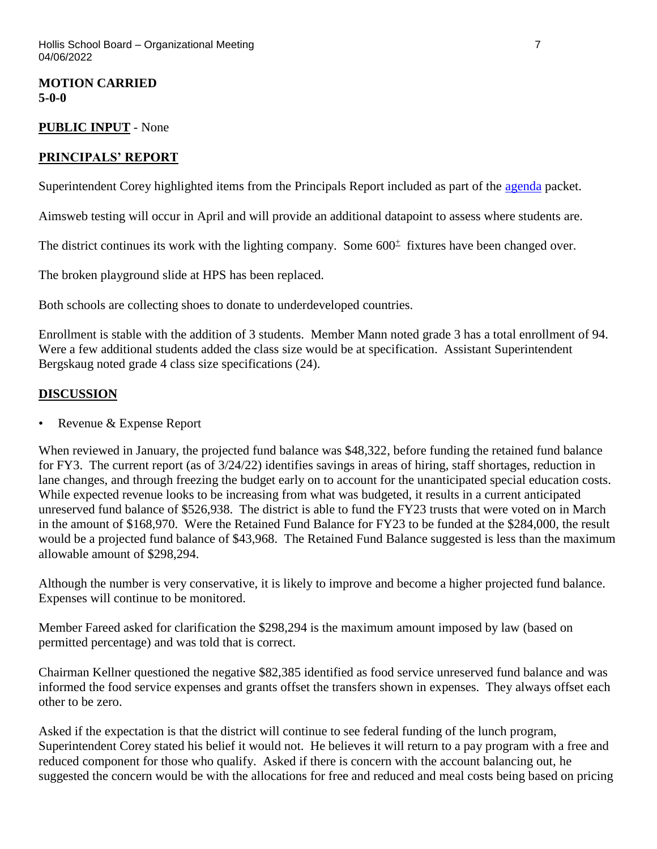**MOTION CARRIED 5-0-0**

### **PUBLIC INPUT** - None

# **PRINCIPALS' REPORT**

Superintendent Corey highlighted items from the Principals Report included as part of the [agenda](https://www.sau41.org/docs/district/depts/108/hsb%20agenda%20packet%204-6-22.pdf?id=2974) packet.

Aimsweb testing will occur in April and will provide an additional datapoint to assess where students are.

The district continues its work with the lighting company. Some  $600<sup>±</sup>$  fixtures have been changed over.

The broken playground slide at HPS has been replaced.

Both schools are collecting shoes to donate to underdeveloped countries.

Enrollment is stable with the addition of 3 students. Member Mann noted grade 3 has a total enrollment of 94. Were a few additional students added the class size would be at specification. Assistant Superintendent Bergskaug noted grade 4 class size specifications (24).

### **DISCUSSION**

• Revenue & Expense Report

When reviewed in January, the projected fund balance was \$48,322, before funding the retained fund balance for FY3. The current report (as of 3/24/22) identifies savings in areas of hiring, staff shortages, reduction in lane changes, and through freezing the budget early on to account for the unanticipated special education costs. While expected revenue looks to be increasing from what was budgeted, it results in a current anticipated unreserved fund balance of \$526,938. The district is able to fund the FY23 trusts that were voted on in March in the amount of \$168,970. Were the Retained Fund Balance for FY23 to be funded at the \$284,000, the result would be a projected fund balance of \$43,968. The Retained Fund Balance suggested is less than the maximum allowable amount of \$298,294.

Although the number is very conservative, it is likely to improve and become a higher projected fund balance. Expenses will continue to be monitored.

Member Fareed asked for clarification the \$298,294 is the maximum amount imposed by law (based on permitted percentage) and was told that is correct.

Chairman Kellner questioned the negative \$82,385 identified as food service unreserved fund balance and was informed the food service expenses and grants offset the transfers shown in expenses. They always offset each other to be zero.

Asked if the expectation is that the district will continue to see federal funding of the lunch program, Superintendent Corey stated his belief it would not. He believes it will return to a pay program with a free and reduced component for those who qualify. Asked if there is concern with the account balancing out, he suggested the concern would be with the allocations for free and reduced and meal costs being based on pricing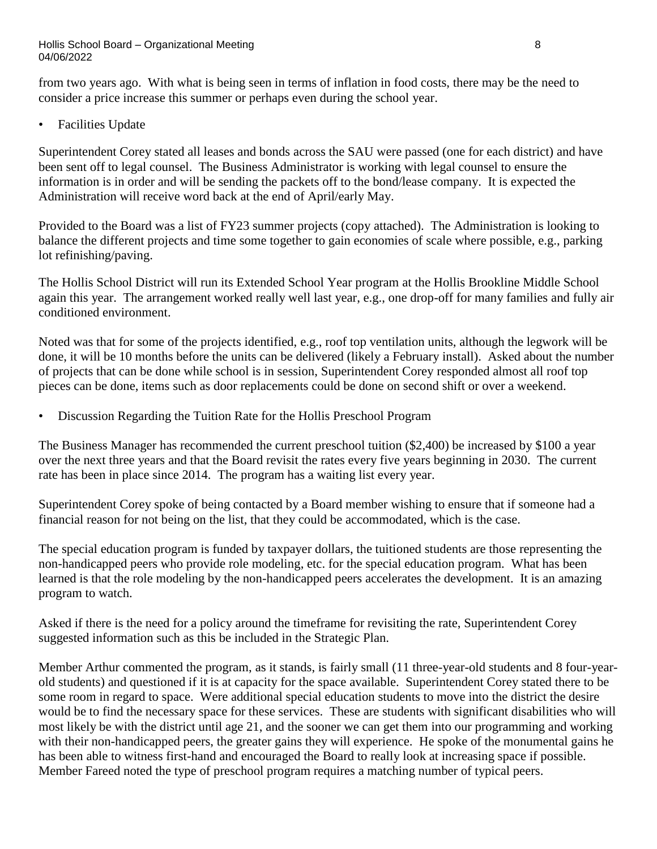from two years ago. With what is being seen in terms of inflation in food costs, there may be the need to consider a price increase this summer or perhaps even during the school year.

• Facilities Update

Superintendent Corey stated all leases and bonds across the SAU were passed (one for each district) and have been sent off to legal counsel. The Business Administrator is working with legal counsel to ensure the information is in order and will be sending the packets off to the bond/lease company. It is expected the Administration will receive word back at the end of April/early May.

Provided to the Board was a list of FY23 summer projects (copy attached). The Administration is looking to balance the different projects and time some together to gain economies of scale where possible, e.g., parking lot refinishing/paving.

The Hollis School District will run its Extended School Year program at the Hollis Brookline Middle School again this year. The arrangement worked really well last year, e.g., one drop-off for many families and fully air conditioned environment.

Noted was that for some of the projects identified, e.g., roof top ventilation units, although the legwork will be done, it will be 10 months before the units can be delivered (likely a February install). Asked about the number of projects that can be done while school is in session, Superintendent Corey responded almost all roof top pieces can be done, items such as door replacements could be done on second shift or over a weekend.

• Discussion Regarding the Tuition Rate for the Hollis Preschool Program

The Business Manager has recommended the current preschool tuition (\$2,400) be increased by \$100 a year over the next three years and that the Board revisit the rates every five years beginning in 2030. The current rate has been in place since 2014. The program has a waiting list every year.

Superintendent Corey spoke of being contacted by a Board member wishing to ensure that if someone had a financial reason for not being on the list, that they could be accommodated, which is the case.

The special education program is funded by taxpayer dollars, the tuitioned students are those representing the non-handicapped peers who provide role modeling, etc. for the special education program. What has been learned is that the role modeling by the non-handicapped peers accelerates the development. It is an amazing program to watch.

Asked if there is the need for a policy around the timeframe for revisiting the rate, Superintendent Corey suggested information such as this be included in the Strategic Plan.

Member Arthur commented the program, as it stands, is fairly small (11 three-year-old students and 8 four-yearold students) and questioned if it is at capacity for the space available. Superintendent Corey stated there to be some room in regard to space. Were additional special education students to move into the district the desire would be to find the necessary space for these services. These are students with significant disabilities who will most likely be with the district until age 21, and the sooner we can get them into our programming and working with their non-handicapped peers, the greater gains they will experience. He spoke of the monumental gains he has been able to witness first-hand and encouraged the Board to really look at increasing space if possible. Member Fareed noted the type of preschool program requires a matching number of typical peers.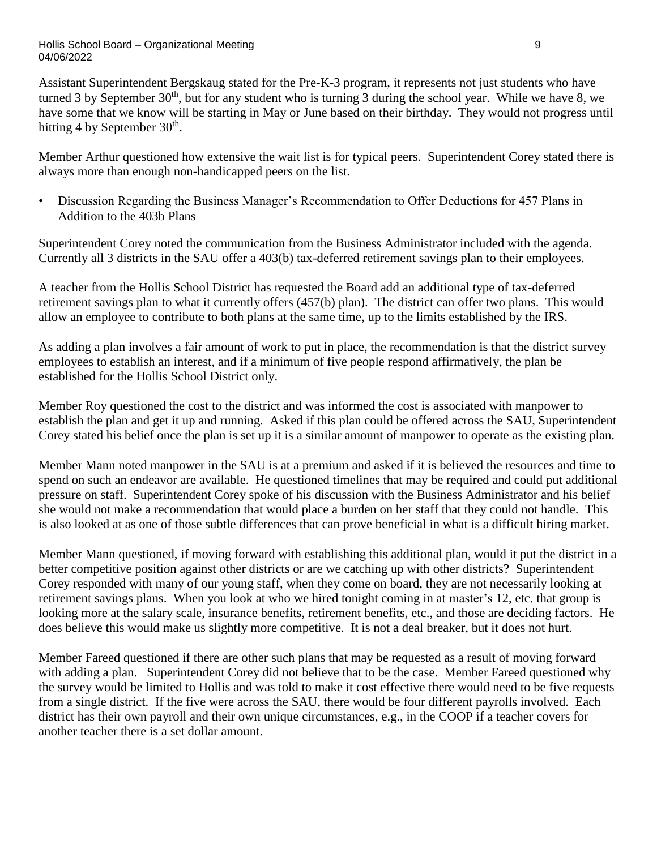#### Hollis School Board – Organizational Meeting 9 04/06/2022

Assistant Superintendent Bergskaug stated for the Pre-K-3 program, it represents not just students who have turned 3 by September  $30<sup>th</sup>$ , but for any student who is turning 3 during the school year. While we have 8, we have some that we know will be starting in May or June based on their birthday. They would not progress until hitting 4 by September  $30<sup>th</sup>$ .

Member Arthur questioned how extensive the wait list is for typical peers. Superintendent Corey stated there is always more than enough non-handicapped peers on the list.

• Discussion Regarding the Business Manager's Recommendation to Offer Deductions for 457 Plans in Addition to the 403b Plans

Superintendent Corey noted the communication from the Business Administrator included with the agenda. Currently all 3 districts in the SAU offer a 403(b) tax-deferred retirement savings plan to their employees.

A teacher from the Hollis School District has requested the Board add an additional type of tax-deferred retirement savings plan to what it currently offers (457(b) plan). The district can offer two plans. This would allow an employee to contribute to both plans at the same time, up to the limits established by the IRS.

As adding a plan involves a fair amount of work to put in place, the recommendation is that the district survey employees to establish an interest, and if a minimum of five people respond affirmatively, the plan be established for the Hollis School District only.

Member Roy questioned the cost to the district and was informed the cost is associated with manpower to establish the plan and get it up and running. Asked if this plan could be offered across the SAU, Superintendent Corey stated his belief once the plan is set up it is a similar amount of manpower to operate as the existing plan.

Member Mann noted manpower in the SAU is at a premium and asked if it is believed the resources and time to spend on such an endeavor are available. He questioned timelines that may be required and could put additional pressure on staff. Superintendent Corey spoke of his discussion with the Business Administrator and his belief she would not make a recommendation that would place a burden on her staff that they could not handle. This is also looked at as one of those subtle differences that can prove beneficial in what is a difficult hiring market.

Member Mann questioned, if moving forward with establishing this additional plan, would it put the district in a better competitive position against other districts or are we catching up with other districts? Superintendent Corey responded with many of our young staff, when they come on board, they are not necessarily looking at retirement savings plans. When you look at who we hired tonight coming in at master's 12, etc. that group is looking more at the salary scale, insurance benefits, retirement benefits, etc., and those are deciding factors. He does believe this would make us slightly more competitive. It is not a deal breaker, but it does not hurt.

Member Fareed questioned if there are other such plans that may be requested as a result of moving forward with adding a plan. Superintendent Corey did not believe that to be the case. Member Fareed questioned why the survey would be limited to Hollis and was told to make it cost effective there would need to be five requests from a single district. If the five were across the SAU, there would be four different payrolls involved. Each district has their own payroll and their own unique circumstances, e.g., in the COOP if a teacher covers for another teacher there is a set dollar amount.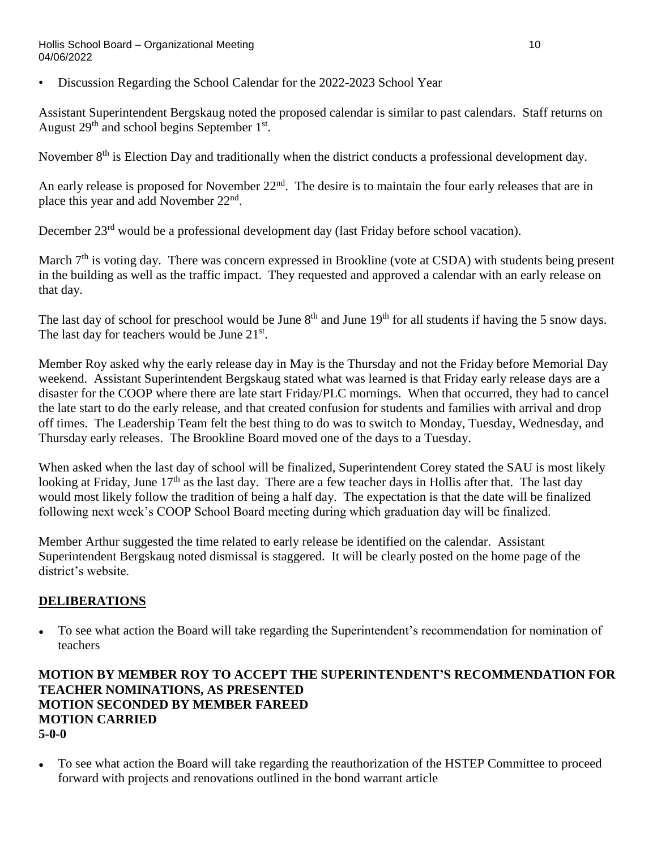#### Hollis School Board – Organizational Meeting 10 04/06/2022

• Discussion Regarding the School Calendar for the 2022-2023 School Year

Assistant Superintendent Bergskaug noted the proposed calendar is similar to past calendars. Staff returns on August  $29<sup>th</sup>$  and school begins September  $1<sup>st</sup>$ .

November 8<sup>th</sup> is Election Day and traditionally when the district conducts a professional development day.

An early release is proposed for November 22<sup>nd</sup>. The desire is to maintain the four early releases that are in place this year and add November 22<sup>nd</sup>.

December 23<sup>rd</sup> would be a professional development day (last Friday before school vacation).

March 7<sup>th</sup> is voting day. There was concern expressed in Brookline (vote at CSDA) with students being present in the building as well as the traffic impact. They requested and approved a calendar with an early release on that day.

The last day of school for preschool would be June  $8<sup>th</sup>$  and June  $19<sup>th</sup>$  for all students if having the 5 snow days. The last day for teachers would be June 21<sup>st</sup>.

Member Roy asked why the early release day in May is the Thursday and not the Friday before Memorial Day weekend. Assistant Superintendent Bergskaug stated what was learned is that Friday early release days are a disaster for the COOP where there are late start Friday/PLC mornings. When that occurred, they had to cancel the late start to do the early release, and that created confusion for students and families with arrival and drop off times. The Leadership Team felt the best thing to do was to switch to Monday, Tuesday, Wednesday, and Thursday early releases. The Brookline Board moved one of the days to a Tuesday.

When asked when the last day of school will be finalized, Superintendent Corey stated the SAU is most likely looking at Friday, June 17<sup>th</sup> as the last day. There are a few teacher days in Hollis after that. The last day would most likely follow the tradition of being a half day. The expectation is that the date will be finalized following next week's COOP School Board meeting during which graduation day will be finalized.

Member Arthur suggested the time related to early release be identified on the calendar. Assistant Superintendent Bergskaug noted dismissal is staggered. It will be clearly posted on the home page of the district's website.

# **DELIBERATIONS**

**●** To see what action the Board will take regarding the Superintendent's recommendation for nomination of teachers

# **MOTION BY MEMBER ROY TO ACCEPT THE SUPERINTENDENT'S RECOMMENDATION FOR TEACHER NOMINATIONS, AS PRESENTED MOTION SECONDED BY MEMBER FAREED MOTION CARRIED 5-0-0**

**●** To see what action the Board will take regarding the reauthorization of the HSTEP Committee to proceed forward with projects and renovations outlined in the bond warrant article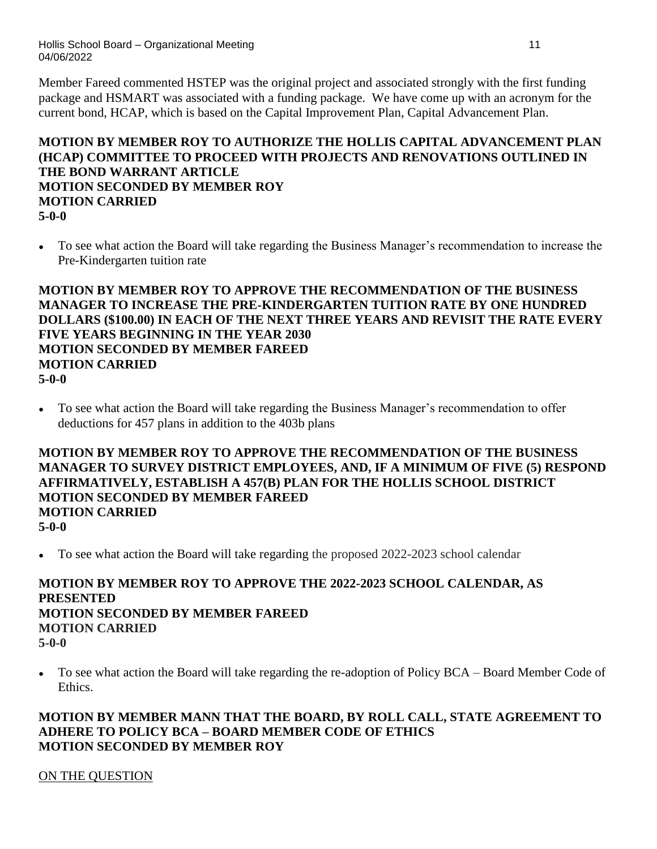Member Fareed commented HSTEP was the original project and associated strongly with the first funding package and HSMART was associated with a funding package. We have come up with an acronym for the current bond, HCAP, which is based on the Capital Improvement Plan, Capital Advancement Plan.

# **MOTION BY MEMBER ROY TO AUTHORIZE THE HOLLIS CAPITAL ADVANCEMENT PLAN (HCAP) COMMITTEE TO PROCEED WITH PROJECTS AND RENOVATIONS OUTLINED IN THE BOND WARRANT ARTICLE MOTION SECONDED BY MEMBER ROY MOTION CARRIED 5-0-0**

**●** To see what action the Board will take regarding the Business Manager's recommendation to increase the Pre-Kindergarten tuition rate

### **MOTION BY MEMBER ROY TO APPROVE THE RECOMMENDATION OF THE BUSINESS MANAGER TO INCREASE THE PRE-KINDERGARTEN TUITION RATE BY ONE HUNDRED DOLLARS (\$100.00) IN EACH OF THE NEXT THREE YEARS AND REVISIT THE RATE EVERY FIVE YEARS BEGINNING IN THE YEAR 2030 MOTION SECONDED BY MEMBER FAREED MOTION CARRIED 5-0-0**

**●** To see what action the Board will take regarding the Business Manager's recommendation to offer deductions for 457 plans in addition to the 403b plans

**MOTION BY MEMBER ROY TO APPROVE THE RECOMMENDATION OF THE BUSINESS MANAGER TO SURVEY DISTRICT EMPLOYEES, AND, IF A MINIMUM OF FIVE (5) RESPOND AFFIRMATIVELY, ESTABLISH A 457(B) PLAN FOR THE HOLLIS SCHOOL DISTRICT MOTION SECONDED BY MEMBER FAREED MOTION CARRIED 5-0-0**

To see what action the Board will take regarding the proposed 2022-2023 school calendar

### **MOTION BY MEMBER ROY TO APPROVE THE 2022-2023 SCHOOL CALENDAR, AS PRESENTED MOTION SECONDED BY MEMBER FAREED MOTION CARRIED 5-0-0**

• To see what action the Board will take regarding the re-adoption of Policy BCA – Board Member Code of Ethics.

# **MOTION BY MEMBER MANN THAT THE BOARD, BY ROLL CALL, STATE AGREEMENT TO ADHERE TO POLICY BCA – BOARD MEMBER CODE OF ETHICS MOTION SECONDED BY MEMBER ROY**

# ON THE QUESTION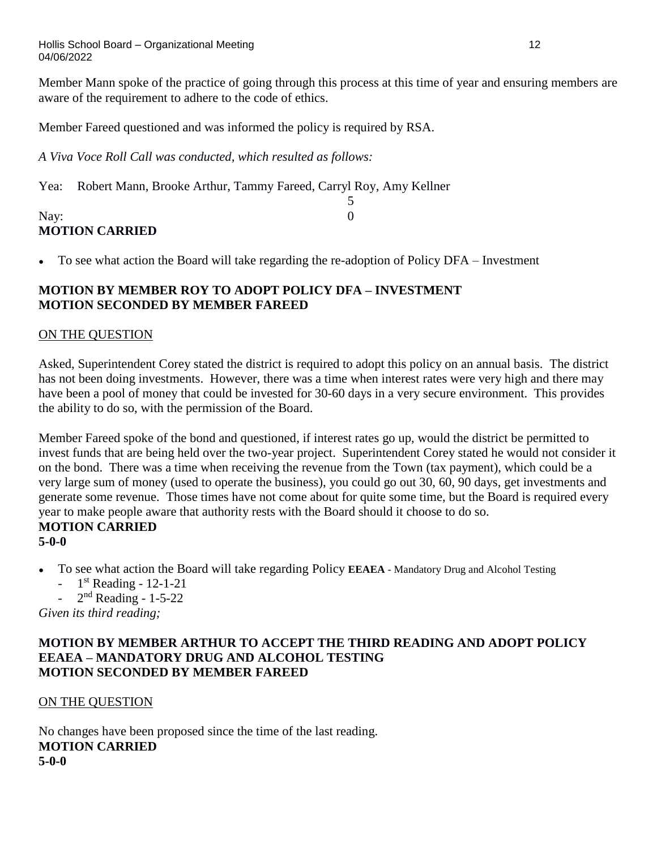Hollis School Board – Organizational Meeting 12 04/06/2022

Member Mann spoke of the practice of going through this process at this time of year and ensuring members are aware of the requirement to adhere to the code of ethics.

5

Member Fareed questioned and was informed the policy is required by RSA.

*A Viva Voce Roll Call was conducted, which resulted as follows:*

Yea: Robert Mann, Brooke Arthur, Tammy Fareed, Carryl Roy, Amy Kellner

# Nay: 0 **MOTION CARRIED**

• To see what action the Board will take regarding the re-adoption of Policy DFA – Investment

# **MOTION BY MEMBER ROY TO ADOPT POLICY DFA – INVESTMENT MOTION SECONDED BY MEMBER FAREED**

# ON THE QUESTION

Asked, Superintendent Corey stated the district is required to adopt this policy on an annual basis. The district has not been doing investments. However, there was a time when interest rates were very high and there may have been a pool of money that could be invested for 30-60 days in a very secure environment. This provides the ability to do so, with the permission of the Board.

Member Fareed spoke of the bond and questioned, if interest rates go up, would the district be permitted to invest funds that are being held over the two-year project. Superintendent Corey stated he would not consider it on the bond. There was a time when receiving the revenue from the Town (tax payment), which could be a very large sum of money (used to operate the business), you could go out 30, 60, 90 days, get investments and generate some revenue. Those times have not come about for quite some time, but the Board is required every year to make people aware that authority rests with the Board should it choose to do so. **MOTION CARRIED**

# **5-0-0**

- To see what action the Board will take regarding Policy **EEAEA** Mandatory Drug and Alcohol Testing
	- $-1$ <sup>st</sup> Reading  $-12-1-21$
	- $2<sup>nd</sup>$  Reading 1-5-22

*Given its third reading;*

# **MOTION BY MEMBER ARTHUR TO ACCEPT THE THIRD READING AND ADOPT POLICY EEAEA – MANDATORY DRUG AND ALCOHOL TESTING MOTION SECONDED BY MEMBER FAREED**

# ON THE QUESTION

No changes have been proposed since the time of the last reading. **MOTION CARRIED 5-0-0**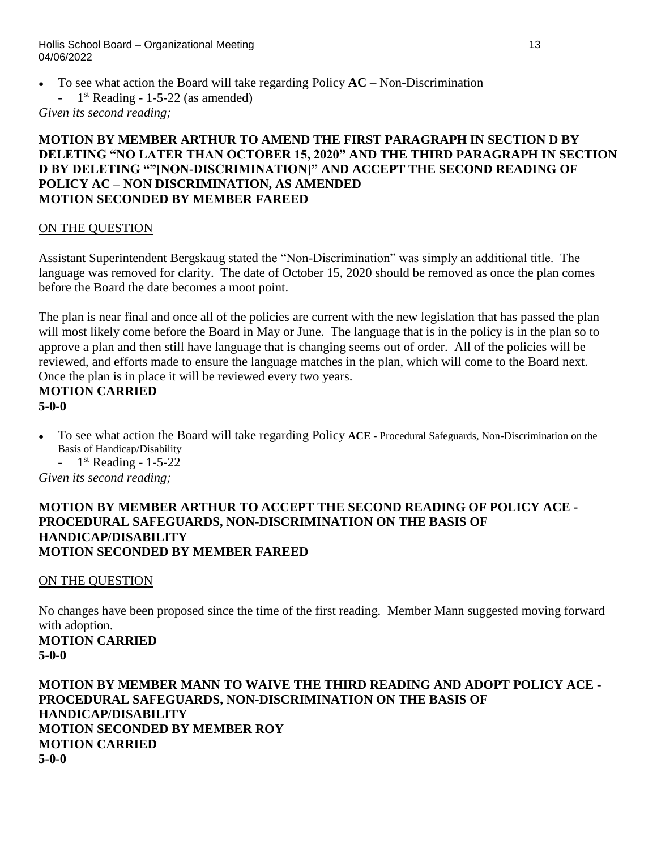Hollis School Board – Organizational Meeting 13 04/06/2022

- To see what action the Board will take regarding Policy  $AC Non-Distribution$ 
	- 1  $1<sup>st</sup> Reading - 1-5-22 (as amended)$

*Given its second reading;*

### **MOTION BY MEMBER ARTHUR TO AMEND THE FIRST PARAGRAPH IN SECTION D BY DELETING "NO LATER THAN OCTOBER 15, 2020" AND THE THIRD PARAGRAPH IN SECTION D BY DELETING ""[NON-DISCRIMINATION]" AND ACCEPT THE SECOND READING OF POLICY AC – NON DISCRIMINATION, AS AMENDED MOTION SECONDED BY MEMBER FAREED**

### ON THE QUESTION

Assistant Superintendent Bergskaug stated the "Non-Discrimination" was simply an additional title. The language was removed for clarity. The date of October 15, 2020 should be removed as once the plan comes before the Board the date becomes a moot point.

The plan is near final and once all of the policies are current with the new legislation that has passed the plan will most likely come before the Board in May or June. The language that is in the policy is in the plan so to approve a plan and then still have language that is changing seems out of order. All of the policies will be reviewed, and efforts made to ensure the language matches in the plan, which will come to the Board next. Once the plan is in place it will be reviewed every two years.

# **MOTION CARRIED**

- **5-0-0**
- To see what action the Board will take regarding Policy **ACE** Procedural Safeguards, Non-Discrimination on the Basis of Handicap/Disability
	- $-1$ <sup>st</sup> Reading  $-1$ -5-22

*Given its second reading;*

### **MOTION BY MEMBER ARTHUR TO ACCEPT THE SECOND READING OF POLICY ACE - PROCEDURAL SAFEGUARDS, NON-DISCRIMINATION ON THE BASIS OF HANDICAP/DISABILITY MOTION SECONDED BY MEMBER FAREED**

# ON THE QUESTION

No changes have been proposed since the time of the first reading. Member Mann suggested moving forward with adoption. **MOTION CARRIED 5-0-0**

**MOTION BY MEMBER MANN TO WAIVE THE THIRD READING AND ADOPT POLICY ACE - PROCEDURAL SAFEGUARDS, NON-DISCRIMINATION ON THE BASIS OF HANDICAP/DISABILITY MOTION SECONDED BY MEMBER ROY MOTION CARRIED 5-0-0**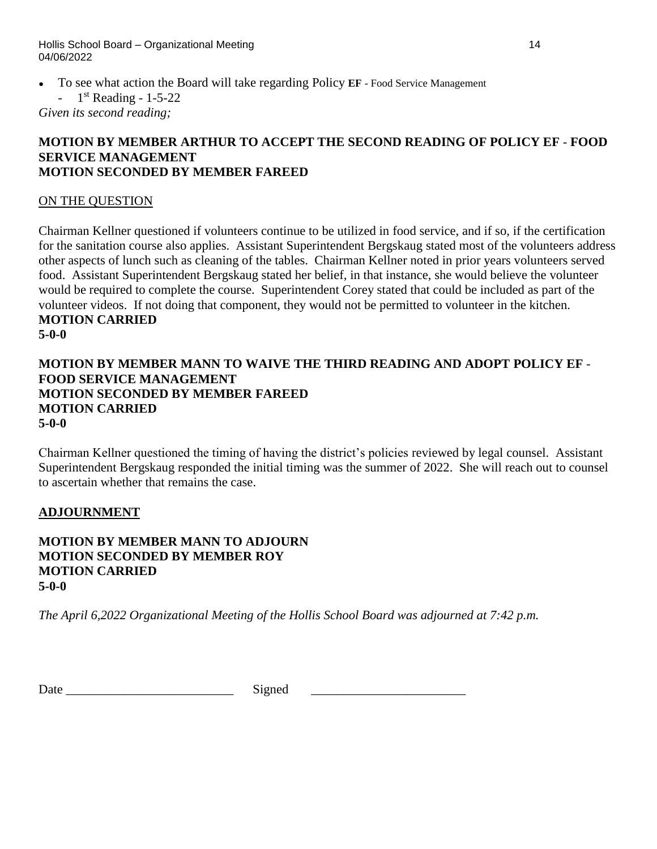Hollis School Board – Organizational Meeting 14 04/06/2022

- To see what action the Board will take regarding Policy **EF** Food Service Management
	- 1  $1<sup>st</sup>$  Reading - 1-5-22

*Given its second reading;*

### **MOTION BY MEMBER ARTHUR TO ACCEPT THE SECOND READING OF POLICY EF** - **FOOD SERVICE MANAGEMENT MOTION SECONDED BY MEMBER FAREED**

### ON THE QUESTION

Chairman Kellner questioned if volunteers continue to be utilized in food service, and if so, if the certification for the sanitation course also applies. Assistant Superintendent Bergskaug stated most of the volunteers address other aspects of lunch such as cleaning of the tables. Chairman Kellner noted in prior years volunteers served food. Assistant Superintendent Bergskaug stated her belief, in that instance, she would believe the volunteer would be required to complete the course. Superintendent Corey stated that could be included as part of the volunteer videos. If not doing that component, they would not be permitted to volunteer in the kitchen. **MOTION CARRIED**

**5-0-0**

## **MOTION BY MEMBER MANN TO WAIVE THE THIRD READING AND ADOPT POLICY EF** - **FOOD SERVICE MANAGEMENT MOTION SECONDED BY MEMBER FAREED MOTION CARRIED 5-0-0**

Chairman Kellner questioned the timing of having the district's policies reviewed by legal counsel. Assistant Superintendent Bergskaug responded the initial timing was the summer of 2022. She will reach out to counsel to ascertain whether that remains the case.

### **ADJOURNMENT**

### **MOTION BY MEMBER MANN TO ADJOURN MOTION SECONDED BY MEMBER ROY MOTION CARRIED 5-0-0**

*The April 6,2022 Organizational Meeting of the Hollis School Board was adjourned at 7:42 p.m.*

| ↖<br>Date |  |
|-----------|--|
|           |  |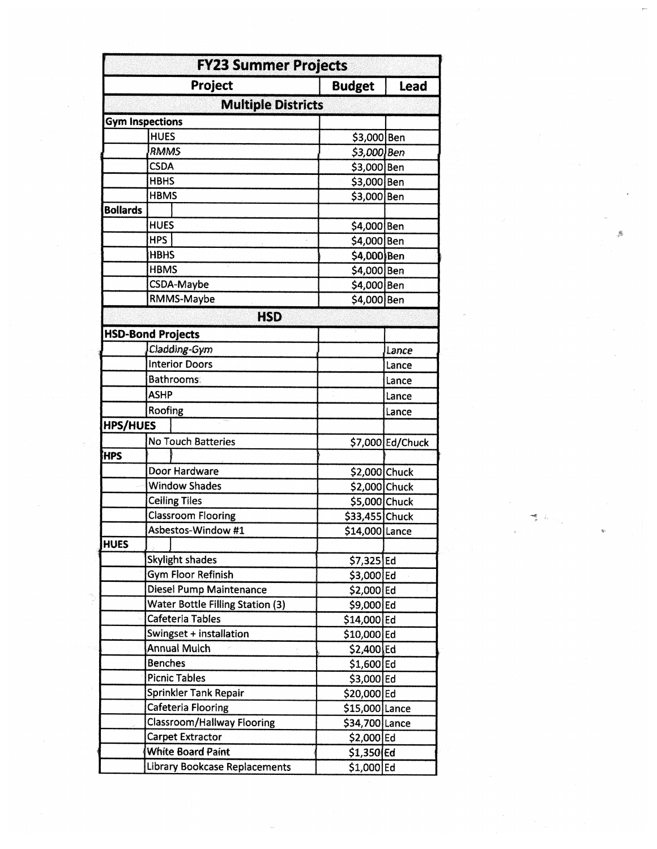|                 | <b>FY23 Summer Projects</b>             |                 |                  |
|-----------------|-----------------------------------------|-----------------|------------------|
|                 | Project                                 | <b>Budget</b>   | Lead             |
|                 | <b>Multiple Districts</b>               |                 |                  |
|                 | <b>Gym Inspections</b>                  |                 |                  |
|                 | <b>HUES</b>                             | \$3,000 Ben     |                  |
|                 | RMMS                                    | $$3,000$ Ben    |                  |
|                 | <b>CSDA</b>                             | \$3,000 Ben     |                  |
|                 | <b>HBHS</b>                             | \$3,000 Ben     |                  |
|                 | <b>HBMS</b>                             | \$3,000 Ben     |                  |
| <b>Bollards</b> |                                         |                 |                  |
|                 | <b>HUES</b>                             | \$4,000 Ben     |                  |
|                 | <b>HPS</b>                              | \$4,000 Ben     |                  |
|                 | <b>HBHS</b>                             | \$4,000 Ben     |                  |
|                 | <b>HBMS</b>                             | \$4,000 Ben     |                  |
|                 | CSDA-Maybe                              | \$4,000 Ben     |                  |
|                 | RMMS-Maybe                              | \$4,000 Ben     |                  |
|                 | <b>HSD</b>                              |                 |                  |
|                 | <b>HSD-Bond Projects</b>                |                 |                  |
|                 | Cladding-Gym                            |                 | Lance            |
|                 | <b>Interior Doors</b>                   |                 | Lance            |
|                 | <b>Bathrooms:</b>                       |                 | Lance            |
|                 | <b>ASHP</b>                             |                 | Lance            |
|                 | Roofing                                 |                 | Lance            |
| <b>HPS/HUES</b> |                                         |                 |                  |
|                 | No Touch Batteries                      |                 | \$7,000 Ed/Chuck |
| <b>HPS</b>      |                                         |                 |                  |
|                 | Door Hardware                           | \$2,000 Chuck   |                  |
|                 | <b>Window Shades</b>                    | \$2,000 Chuck   |                  |
|                 | <b>Ceiling Tiles</b>                    | \$5,000 Chuck   |                  |
|                 | <b>Classroom Flooring</b>               | \$33,455 Chuck  |                  |
|                 | Asbestos-Window #1                      | \$14,000 Lance  |                  |
| <b>HUES</b>     |                                         |                 |                  |
|                 | Skylight shades                         | $$7,325$ Ed     |                  |
|                 | <b>Gym Floor Refinish</b>               | \$3,000 Ed      |                  |
|                 | <b>Diesel Pump Maintenance</b>          | \$2,000 Ed      |                  |
|                 | <b>Water Bottle Filling Station (3)</b> | \$9,000 Ed      |                  |
|                 | Cafeteria Tables                        | \$14,000 Ed     |                  |
|                 | Swingset + installation                 | \$10,000 Ed     |                  |
|                 | <b>Annual Mulch</b>                     | $$2,400$ Ed     |                  |
|                 | <b>Benches</b>                          | $$1,600$ Ed     |                  |
|                 | <b>Picnic Tables</b>                    | \$3,000 Ed      |                  |
|                 | Sprinkler Tank Repair                   | \$20,000 Ed     |                  |
|                 | <b>Cafeteria Flooring</b>               | $$15,000$ Lance |                  |
|                 | <b>Classroom/Hallway Flooring</b>       | \$34,700 Lance  |                  |
|                 | Carpet Extractor                        | $$2,000$ Ed     |                  |
|                 | White Board Paint                       | \$1,350 Ed      |                  |
|                 | <b>Library Bookcase Replacements</b>    | \$1,000 Ed      |                  |